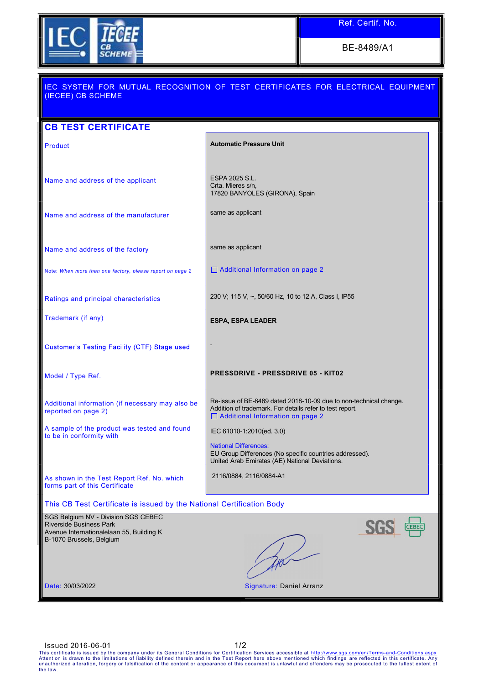

BE-8489/A1

| (IECEE) CB SCHEME                                                                                                                             | IEC SYSTEM FOR MUTUAL RECOGNITION OF TEST CERTIFICATES FOR ELECTRICAL EQUIPMENT                                                                                          |
|-----------------------------------------------------------------------------------------------------------------------------------------------|--------------------------------------------------------------------------------------------------------------------------------------------------------------------------|
| <b>CB TEST CERTIFICATE</b>                                                                                                                    |                                                                                                                                                                          |
| Product                                                                                                                                       | <b>Automatic Pressure Unit</b>                                                                                                                                           |
| Name and address of the applicant                                                                                                             | ESPA 2025 S.L.<br>Crta. Mieres s/n,<br>17820 BANYOLES (GIRONA), Spain                                                                                                    |
| Name and address of the manufacturer                                                                                                          | same as applicant                                                                                                                                                        |
| Name and address of the factory                                                                                                               | same as applicant                                                                                                                                                        |
| Note: When more than one factory, please report on page 2                                                                                     | □ Additional Information on page 2                                                                                                                                       |
| Ratings and principal characteristics                                                                                                         | 230 V; 115 V, ~, 50/60 Hz, 10 to 12 A, Class I, IP55                                                                                                                     |
| Trademark (if any)                                                                                                                            | <b>ESPA, ESPA LEADER</b>                                                                                                                                                 |
| Customer's Testing Facility (CTF) Stage used                                                                                                  |                                                                                                                                                                          |
| Model / Type Ref.                                                                                                                             | <b>PRESSDRIVE - PRESSDRIVE 05 - KIT02</b>                                                                                                                                |
| Additional information (if necessary may also be<br>reported on page 2)                                                                       | Re-issue of BE-8489 dated 2018-10-09 due to non-technical change.<br>Addition of trademark. For details refer to test report.<br>$\Box$ Additional Information on page 2 |
| A sample of the product was tested and found<br>to be in conformity with                                                                      | IEC 61010-1:2010(ed. 3.0)                                                                                                                                                |
|                                                                                                                                               | <b>National Differences:</b><br>EU Group Differences (No specific countries addressed).<br>United Arab Emirates (AE) National Deviations.                                |
| As shown in the Test Report Ref. No. which<br>forms part of this Certificate                                                                  | 2116/0884, 2116/0884-A1                                                                                                                                                  |
| This CB Test Certificate is issued by the National Certification Body                                                                         |                                                                                                                                                                          |
| SGS Belgium NV - Division SGS CEBEC<br><b>Riverside Business Park</b><br>Avenue Internationalelaan 55, Building K<br>B-1070 Brussels, Belgium |                                                                                                                                                                          |
| Date: 30/03/2022                                                                                                                              | Signature: Daniel Arranz                                                                                                                                                 |

ISSUED 2016-06-01<br>This certificate is issued by the company under its General Conditions for Certification Services accessible at http://www.sgs.com/en/Terms-and-Conditions.aspx<br>Attention is drawn to the limitations of lia